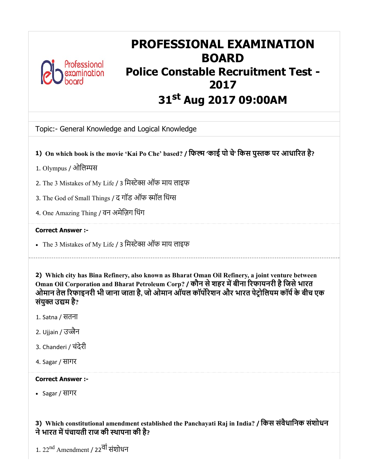

# PROFESSIONAL EXAMINATION BOARD Police Constable Recruitment Test - 2017 31<sup>st</sup> Aug 2017 09:00AM

Topic:- General Knowledge and Logical Knowledge

- 1) On which book is the movie 'Kai Po Che' based? / फिल्म 'काई पो चे' किस पुस्तक पर आधारित है?
- 1. Olympus / ओिलस
- 2. The 3 Mistakes of My Life / 3 िमे ऑफ माय लाइफ
- 3. The God of Small Things / द गॉड ऑफ स्मॉल थिंग्स
- 4. One Amazing Thing / वन अमेिज़ग िथंग

#### Correct Answer :-

• The 3 Mistakes of My Life / 3 मिस्टेक्स ऑफ माय लाइफ

2) Which city has Bina Refinery, also known as Bharat Oman Oil Refinery, a joint venture between Oman Oil Corporation and Bharat Petroleum Corp? / कौन से शहर में बीना रिफायनरी है जिसे भारत ओमान तेल रिफाइनरी भी जाना जाता है, जो ओमान ऑयल कॉर्पोरेशन और भारत पेट्रोलियम कॉर्प के बीच एक संयुक्त उद्यम है?

- 1. Satna / सतना
- 2. Ujjain / उज्जैन
- 3. Chanderi / चंदेरी
- 4. Sagar / सागर

#### Correct Answer :-

Sagar / सागर

3) Which constitutional amendment established the Panchayati Raj in India? / िकस संवैधािनक संशोधन ने भारत में पंचायती राज की स्थापना की है?

1. 22<sup>nd</sup> Amendment / 22<sup>वी</sup> संशोधन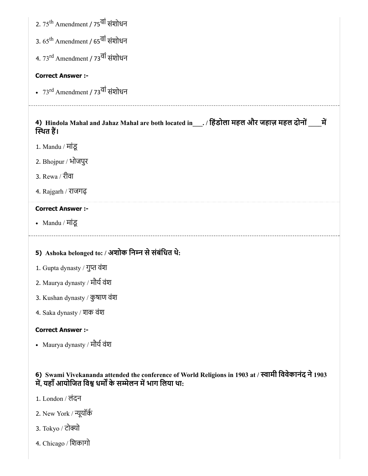|  |  | 2. 75 <sup>th</sup> Amendment / 75 <sup>वा</sup> संशोधन |  |  |
|--|--|---------------------------------------------------------|--|--|
|--|--|---------------------------------------------------------|--|--|

3. 65<sup>th</sup> Amendment / 65<sup>वी</sup> संशोधन

4. 73<sup>rd</sup> Amendment / 73<sup>वी</sup> संशोधन

### Correct Answer :-

73<sup>rd</sup> Amendment / 73<sup>वी</sup> संशोधन

# 4) Hindola Mahal and Jahaz Mahal are both located in\_\_\_. / हिंडोला महल और जहाज़ महल दोनों \_\_\_\_\_में \_ स्थित हैं।

- 1. Mandu / मांडू
- 2. Bhojpur / भोजपुर
- 3. Rewa / रीवा
- 4. Rajgarh / राजगढ़

# Correct Answer :-

Mandu / मांडू

# 5) Ashoka belonged to: / अशोक िनन सेसंबंिधत थे:

- 1. Gupta dynasty / गुत वंश
- 2. Maurya dynasty / मौर्य वंश
- 3. Kushan dynasty / कुषाण वंश
- 4. Saka dynasty / शक वंश

### Correct Answer :-

• Maurya dynasty / मौर्य वंश

# 6) Swami Vivekananda attended the conference of World Religions in 1903 at / स्वामी विवेकानंद ने 1903 - , लाया से सेलेला का सामाना है।<br>में, यहाँ आयोजित विश्व धर्मों के सम्मेलन में भाग लिया था:

- 1. London / लंदन
- 2. New York / ूयॉक
- 3. Tokyo / टोक्यो
- 4. Chicago / िशकागो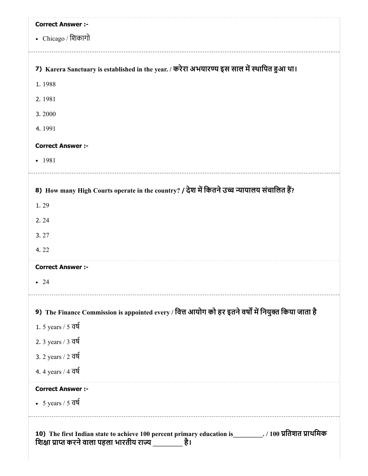|                                 | <b>Correct Answer :-</b>                                                                             |
|---------------------------------|------------------------------------------------------------------------------------------------------|
| • Chicago / शिकागो              |                                                                                                      |
|                                 | 7) Karera Sanctuary is established in the year. / करेरा अभयारण्य इस साल में स्थापित हुआ था।          |
| 1.1988                          |                                                                                                      |
| 2.1981                          |                                                                                                      |
| 3.2000                          |                                                                                                      |
| 4.1991                          |                                                                                                      |
| <b>Correct Answer :-</b>        |                                                                                                      |
| $-1981$                         |                                                                                                      |
|                                 | 8) How many High Courts operate in the country? / देश में कितने उच्च न्यायालय संचालित हैं?           |
| 1.29                            |                                                                                                      |
| 2.24                            |                                                                                                      |
| 3.27                            |                                                                                                      |
| 4.22                            |                                                                                                      |
| <b>Correct Answer :-</b>        |                                                                                                      |
| $\bullet$ 24                    |                                                                                                      |
|                                 | 9) The Finance Commission is appointed every / वित्त आयोग को हर इतने वर्षों में नियुक्त किया जाता है |
| 1. 5 years / $5$ $\overline{d}$ |                                                                                                      |
| 2. 3 years / 3 वर्ष             |                                                                                                      |
| 3. 2 years / 2 वर्ष             |                                                                                                      |
| 4. 4 years / 4 वर्ष             |                                                                                                      |
| <b>Correct Answer :-</b>        |                                                                                                      |
|                                 | • 5 years / $5 \overline{q}$                                                                         |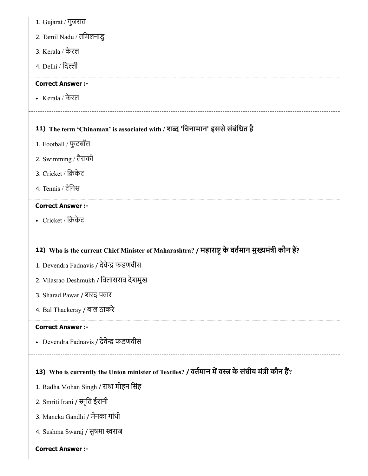- 1. Gujarat / गुजरात
- 2. Tamil Nadu / तिमलनाडु
- 3. Kerala / केरल
- 4. Delhi / िदी

### Correct Answer :-

Kerala / केरल

# 11) The term 'Chinaman' is associated with / शब्द 'चिनामान' इससे संबंधित है

- 1. Football / फुटबॉल
- 2. Swimming / तैराकी
- 3. Cricket / िकेट
- 4. Tennis / टेिनस

### Correct Answer :-

Cricket / िकेट

# 12) Who is the current Chief Minister of Maharashtra? / महाराष्ट्र के वर्तमान मुख्यमंत्री कौन है?

- 1. Devendra Fadnavis / देवे फडणवीस
- 2. Vilasrao Deshmukh / िवलासराव देशमुख
- 3. Sharad Pawar / शरद पवार
- 4. Bal Thackeray / बाल ठाकरे

#### Correct Answer :-

• Devendra Fadnavis / देवेन्द्र फडणवीस

# 13) Who is currently the Union minister of Textiles? / वर्तमान में वस्त्र के संघीय मंत्री कौन है?

- 1. Radha Mohan Singh / राधा मोहन िसंह
- 2. Smriti Irani / स्मृति ईरानी
- 3. Maneka Gandhi / मेनका गांधी
- 4. Sushma Swaraj / सुषमा स्वराज

#### Correct Answer :-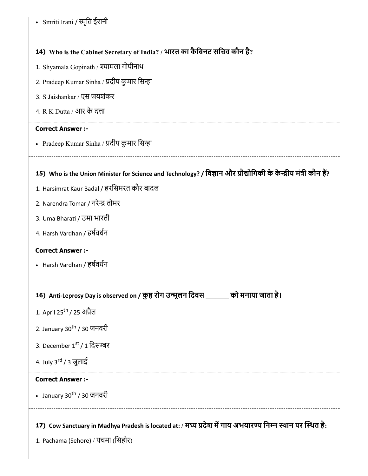• Smriti Irani / स्मृति ईरानी

# 14) Who is the Cabinet Secretary of India? / भारत का कैिबनट सिचव कौन है?

- 1. Shyamala Gopinath / श्यामला गोपीनाथ
- 2. Pradeep Kumar Sinha / प्रदीप कुमार सिन्हा
- 3. S Jaishankar / एस जयशंकर
- 4. R K Dutta / आर के दा

### Correct Answer :-

• Pradeep Kumar Sinha / प्रदीप कुमार सिन्हा

### 15) Who is the Union Minister for Science and Technology? / विज्ञान और प्रौद्योगिकी के केन्द्रीय मंत्री कौन है?

- 1. Harsimrat Kaur Badal / हरिसमरत कौर बादल
- 2. Narendra Tomar / नरेन्द्र तोमर
- 3. Uma Bharati / उमा भारती
- 4. Harsh Vardhan / हषवधन

#### Correct Answer :-

Harsh Vardhan / हषवधन

# 16) Anti-Leprosy Day is observed on / कुष्ठ रोग उन्मूलन दिवस \_\_\_\_\_\_\_ को मनाया जाता है।

- 1. April 25<sup>th</sup> / 25 अप्रैल
- 2. January 30<sup>th</sup> / 30 जनवरी
- 3. December 1<sup>st</sup> / 1 दिसम्बर
- 4. July 3<sup>rd</sup> / 3 जुलाई

### Correct Answer :-

January 30<sup>th</sup> / 30 जनवरी

17) Cow Sanctuary in Madhya Pradesh is located at: / मध्य प्रदेश में गाय अभयारण्य निम्न स्थान पर स्थित है:

1. Pachama (Sehore) / पचमा (िसहोर)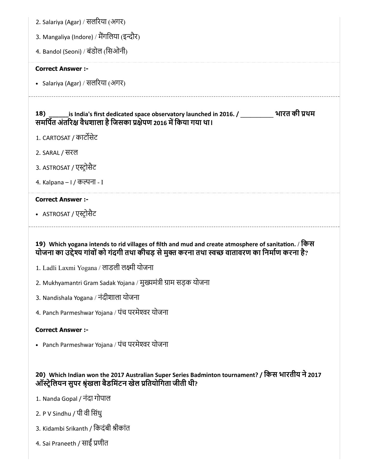| 2. Salariya (Agar) / सलरिया (अगर)                                                                                                                                                                        |
|----------------------------------------------------------------------------------------------------------------------------------------------------------------------------------------------------------|
| 3. Mangaliya (Indore) / मैंगलिया (इन्दौर)                                                                                                                                                                |
| 4. Bandol (Seoni) / बंडोल (सिओनी)                                                                                                                                                                        |
| <b>Correct Answer :-</b>                                                                                                                                                                                 |
| • Salariya (Agar) / सलरिया (अगर)                                                                                                                                                                         |
| is India's first dedicated space observatory launched in 2016. / ____________ भारत की प्रथम<br><b>18</b> )<br>समर्पित अंतरिक्ष वैधशाला है जिसका प्रक्षेपण 2016 में किया गया था।                          |
| 1. CARTOSAT / कार्टोसेट                                                                                                                                                                                  |
| 2. SARAL / सरल                                                                                                                                                                                           |
| 3. ASTROSAT / एस्ट्रोसैट                                                                                                                                                                                 |
| 4. Kalpana – 1 / कल्पना - I                                                                                                                                                                              |
| <b>Correct Answer :-</b>                                                                                                                                                                                 |
| • ASTROSAT / एस्ट्रोसैट                                                                                                                                                                                  |
|                                                                                                                                                                                                          |
| 19) Which yogana intends to rid villages of filth and mud and create atmosphere of sanitation. / किस<br>योजना का उद्देश्य गांवों को गंदगी तथा कीचड़ से मुक्त करना तथा स्वच्छ वातावरण का निर्माण करना है? |
| 1. Ladli Laxmi Yogana / लाडली लक्ष्मी योजना                                                                                                                                                              |
| 2. Mukhyamantri Gram Sadak Yojana / मुख्यमंत्री ग्राम सड़क योजना                                                                                                                                         |
| 3. Nandishala Yogana / नंदीशाला योजना                                                                                                                                                                    |
| 4. Panch Parmeshwar Yojana / पंच परमेश्वर योजना                                                                                                                                                          |
| <b>Correct Answer:-</b>                                                                                                                                                                                  |
| • Panch Parmeshwar Yojana / पंच परमेश्वर योजना                                                                                                                                                           |
|                                                                                                                                                                                                          |
| 20) Which Indian won the 2017 Australian Super Series Badminton tournament? / किस भारतीय ने 2017<br>ऑस्ट्रेलियन सुपर श्रृंखला बैडमिंटन खेल प्रतियोगिता जीती थी?                                          |
| 1. Nanda Gopal / नंदा गोपाल                                                                                                                                                                              |
| 2. P V Sindhu / पी वी सिंधु                                                                                                                                                                              |

4. Sai Praneeth / साईं प्रणीत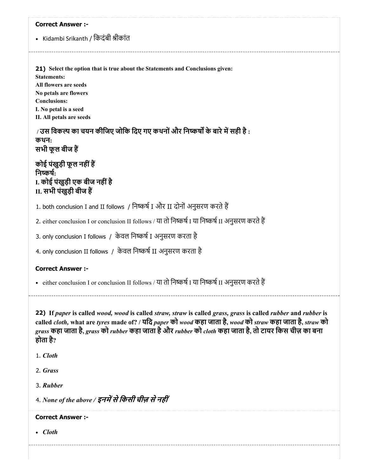#### Correct Answer :-

• Kidambi Srikanth / किदंबी श्रीकांत

21) Select the option that is true about the Statements and Conclusions given: Statements: All flowers are seeds No petals are flowers Conclusions: I. No petal is a seed II. All petals are seeds

 $/$  उस विकल्प का चयन कीजिए जोकि दिए गए कथनों और निष्कर्षों के बारे में सही है : कथन: सभी फूल बीज ह

कोई पंखुड़ी फूल नहींह निष्कर्षः I. कोई पंखुड़ी एक बीज नहींहै II. सभी पंखुड़ी बीज ह

1. both conclusion I and II follows / निष्कर्ष I और II दोनों अनुसरण करते हैं

2. either conclusion I or conclusion II follows / या तो निष्कर्ष I या निष्कर्ष II अनुसरण करते हैं

3. only conclusion I follows / केवल निष्कर्ष I अनुसरण करता है

4. only conclusion II follows / केवल निष्कर्ष II अनुसरण करता है

#### Correct Answer :-

• either conclusion I or conclusion II follows / या तो निष्कर्ष I या निष्कर्ष II अनुसरण करते हैं

22) If *paper* is called *wood, wood* is called *straw, straw* is called *grass, grass* is called *rubber* and *rubber* is called *cloth,* what are *tyres* made of? / यिद *paper* को *wood* कहा जाता है, *wood* को *straw* कहा जाता है, *straw* को *grass* कहा जाता है, *grass* को *rubber* कहा जाता हैऔर *rubber* को *cloth* कहा जाता है, तो टायर िकस चीज़ का बना होता है?

1. *Cloth*

2. *Grass*

3. *Rubber*

4. *None of the above /* इनमसेिकसी चीज़ सेनहीं

Correct Answer :-

*Cloth*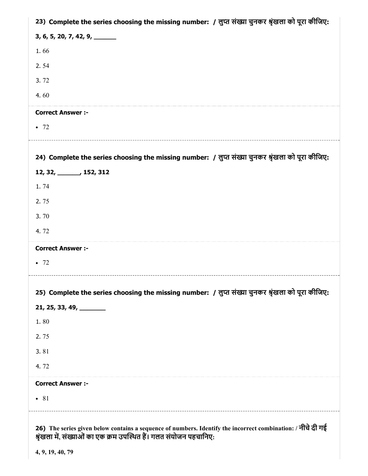| 23) Complete the series choosing the missing number: / लुप्त संख्या चुनकर श्रृंखला को पूरा कीजिए:                                                                                 |
|-----------------------------------------------------------------------------------------------------------------------------------------------------------------------------------|
| $3, 6, 5, 20, 7, 42, 9, \underline{\hspace{1cm}}$                                                                                                                                 |
| 1.66                                                                                                                                                                              |
| 2.54                                                                                                                                                                              |
| 3.72                                                                                                                                                                              |
| 4.60                                                                                                                                                                              |
| <b>Correct Answer :-</b>                                                                                                                                                          |
| $\bullet$ 72                                                                                                                                                                      |
| 24) Complete the series choosing the missing number: / लुप्त संख्या चुनकर श्रृंखला को पूरा कीजिए:                                                                                 |
| 12, 32, ______, 152, 312                                                                                                                                                          |
| 1.74                                                                                                                                                                              |
| 2.75                                                                                                                                                                              |
| 3.70                                                                                                                                                                              |
| 4.72                                                                                                                                                                              |
| <b>Correct Answer :-</b>                                                                                                                                                          |
| $\bullet$ 72                                                                                                                                                                      |
| 25) Complete the series choosing the missing number: / लुप्त संख्या चुनकर श्रृंखला को पूरा कीजिए:                                                                                 |
| $21, 25, 33, 49, \underline{\hspace{1cm}}$                                                                                                                                        |
| 1.80                                                                                                                                                                              |
| 2.75                                                                                                                                                                              |
| 3.81                                                                                                                                                                              |
| 4.72                                                                                                                                                                              |
| <b>Correct Answer :-</b>                                                                                                                                                          |
| • 81                                                                                                                                                                              |
| 26) The series given below contains a sequence of numbers. Identify the incorrect combination: / नीचे दी गई<br>श्रृंखला में, संख्याओं का एक क्रम उपस्थित हैं। गलत संयोजन पहचानिए: |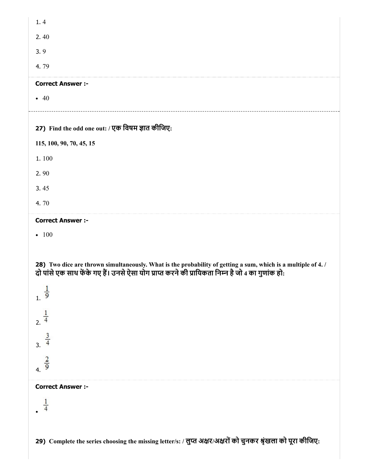| 1.4                                                                                                                                                                                                               |
|-------------------------------------------------------------------------------------------------------------------------------------------------------------------------------------------------------------------|
| 2.40                                                                                                                                                                                                              |
| 3.9                                                                                                                                                                                                               |
| 4.79                                                                                                                                                                                                              |
| <b>Correct Answer :-</b>                                                                                                                                                                                          |
| $\bullet$ 40                                                                                                                                                                                                      |
| 27) Find the odd one out: / एक विषम ज्ञात कीजिए:                                                                                                                                                                  |
| 115, 100, 90, 70, 45, 15                                                                                                                                                                                          |
| 1.100                                                                                                                                                                                                             |
| 2.90                                                                                                                                                                                                              |
| 3.45                                                                                                                                                                                                              |
| 4.70                                                                                                                                                                                                              |
| <b>Correct Answer :-</b>                                                                                                                                                                                          |
| $-100$                                                                                                                                                                                                            |
| 28) Two dice are thrown simultaneously. What is the probability of getting a sum, which is a multiple of 4. /<br>दो पांसे एक साथ फेंके गए हैं। उनसे ऐसा योग प्राप्त करने की प्रायिकता निम्न है जो 4 का गुणांक हो: |
| $\frac{1}{9}$                                                                                                                                                                                                     |
| $\frac{1}{4}$                                                                                                                                                                                                     |
| $\frac{3}{3}$                                                                                                                                                                                                     |
| $rac{2}{9}$                                                                                                                                                                                                       |
| <b>Correct Answer :-</b>                                                                                                                                                                                          |
|                                                                                                                                                                                                                   |
|                                                                                                                                                                                                                   |
| 29) Complete the series choosing the missing letter/s: / लुप्त अक्षर/अक्षरों को चुनकर श्रृंखला को पूरा कीजिए:                                                                                                     |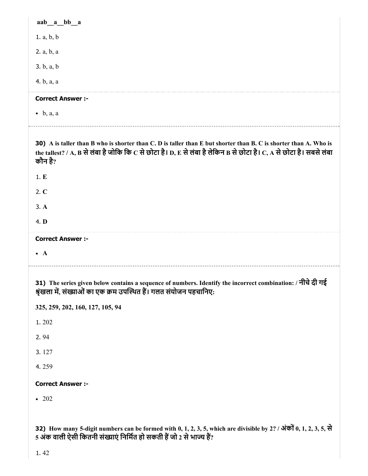| aab a bb a                                                                                                                                                                                                                                         |
|----------------------------------------------------------------------------------------------------------------------------------------------------------------------------------------------------------------------------------------------------|
| 1. a, b, b                                                                                                                                                                                                                                         |
| 2. a, b, a                                                                                                                                                                                                                                         |
| 3. b, a, b                                                                                                                                                                                                                                         |
| 4. b, a, a                                                                                                                                                                                                                                         |
| <b>Correct Answer :-</b>                                                                                                                                                                                                                           |
| $\bullet$ b, a, a                                                                                                                                                                                                                                  |
|                                                                                                                                                                                                                                                    |
| 30) A is taller than B who is shorter than C. D is taller than E but shorter than B. C is shorter than A. Who is<br>the tallest? / A, B से लंबा है जोकि कि C से छोटा है। D, E से लंबा है लेकिन B से छोटा है। C, A से छोटा है। सबसे लंबा<br>कौन है? |
| 1.E                                                                                                                                                                                                                                                |
| 2. C                                                                                                                                                                                                                                               |
| 3. A                                                                                                                                                                                                                                               |
| 4. D                                                                                                                                                                                                                                               |
| <b>Correct Answer :-</b>                                                                                                                                                                                                                           |
| $\bullet$ A                                                                                                                                                                                                                                        |
|                                                                                                                                                                                                                                                    |
| 31) The series given below contains a sequence of numbers. Identify the incorrect combination: / नीचे दी गई<br>श्रृंखला में, संख्याओं का एक क्रम उपस्थित हैं। गलत संयोजन पहचानिए:                                                                  |
| 325, 259, 202, 160, 127, 105, 94                                                                                                                                                                                                                   |
| 1.202                                                                                                                                                                                                                                              |
| 2.94                                                                                                                                                                                                                                               |
| 3.127                                                                                                                                                                                                                                              |
|                                                                                                                                                                                                                                                    |
| 4.259                                                                                                                                                                                                                                              |
| <b>Correct Answer :-</b>                                                                                                                                                                                                                           |
| $-202$                                                                                                                                                                                                                                             |
|                                                                                                                                                                                                                                                    |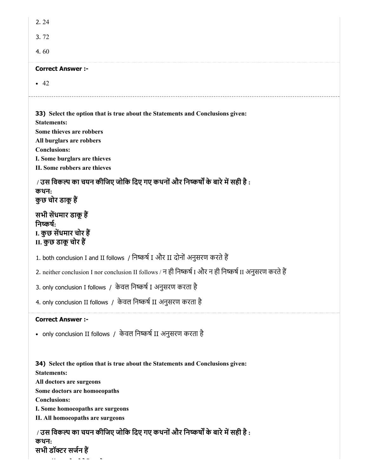| 2.24                                                                                                                                                                                                                                                            |
|-----------------------------------------------------------------------------------------------------------------------------------------------------------------------------------------------------------------------------------------------------------------|
| 3.72                                                                                                                                                                                                                                                            |
| 4.60                                                                                                                                                                                                                                                            |
| <b>Correct Answer :-</b>                                                                                                                                                                                                                                        |
| $\bullet$ 42                                                                                                                                                                                                                                                    |
| <b>33)</b> Select the option that is true about the Statements and Conclusions given:<br><b>Statements:</b><br>Some thieves are robbers<br>All burglars are robbers<br><b>Conclusions:</b><br>I. Some burglars are thieves<br>II. Some robbers are thieves      |
| / उस विकल्प का चयन कीजिए जोकि दिए गए कथनों और निष्कर्षों के बारे में सही है :<br>कथन:<br>कुछ चोर डाकू हैं                                                                                                                                                       |
| सभी सेंधमार डाकू हैं<br>निष्कर्ष:<br>I. कुछ सेंधमार चोर हैं<br>II. कुछ डाकू चोर हैं                                                                                                                                                                             |
| 1. both conclusion I and II follows / निष्कर्ष I और II दोनों अनुसरण करते हैं                                                                                                                                                                                    |
| 2. neither conclusion I nor conclusion II follows / न ही निष्कर्ष I और न ही निष्कर्ष II अनुसरण करते हैं                                                                                                                                                         |
| 3. only conclusion I follows / केवल निष्कर्ष I अनुसरण करता है                                                                                                                                                                                                   |
| 4. only conclusion II follows / केवल निष्कर्ष II अनुसरण करता है                                                                                                                                                                                                 |
| <b>Correct Answer :-</b>                                                                                                                                                                                                                                        |
| • only conclusion II follows / केवल निष्कर्ष II अनुसरण करता है                                                                                                                                                                                                  |
| 34) Select the option that is true about the Statements and Conclusions given:<br><b>Statements:</b><br>All doctors are surgeons<br>Some doctors are homoeopaths<br><b>Conclusions:</b><br>I. Some homoeopaths are surgeons<br>II. All homoeopaths are surgeons |
| / उस विकल्प का चयन कीजिए जोकि दिए गए कथनों और निष्कर्षों के बारे में सही है :                                                                                                                                                                                   |

कथन: सभी डॉटर सजन ह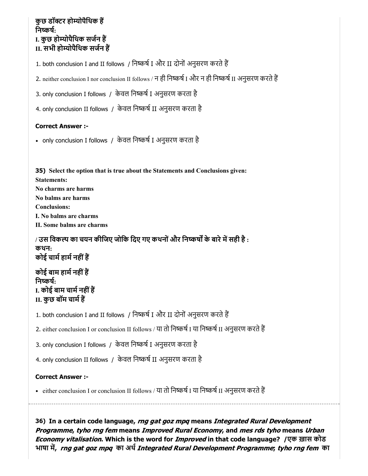## कुछ डॉटर होयोपैिथक ह निष्कर्ष: I. कुछ होयोपैिथक सजन ह II. सभी होयोपैिथक सजन ह

1. both conclusion I and II follows / निष्कर्ष I और II दोनों अनुसरण करते हैं

2. neither conclusion I nor conclusion II follows / न ही निष्कर्ष I और न ही निष्कर्ष II अनुसरण करते हैं

3. only conclusion I follows / केवल निष्कर्ष I अनुसरण करता है

4. only conclusion II follows / केवल निष्कर्ष II अनुसरण करता है

#### Correct Answer :-

• only conclusion I follows / केवल निष्कर्ष I अनुसरण करता है

35) Select the option that is true about the Statements and Conclusions given: Statements: No charms are harms No balms are harms Conclusions: I. No balms are charms II. Some balms are charms

/ उस विकल्प का चयन कीजिए जोकि दिए गए कथनों और निष्कर्षों के बारे में सही है : कथन: कोई चार्म हार्म नहीं हैं

कोई बाम हार्म नहीं हैं निष्कर्ष: I. कोई बाम चार्म नहीं हैं II. कुछ बॉम चामह

1. both conclusion I and II follows / निष्कर्ष I और II दोनों अनुसरण करते हैं

2. either conclusion I or conclusion II follows / या तो निष्कर्ष I या निष्कर्ष II अनुसरण करते हैं

3. only conclusion I follows / केवल निष्कर्ष I अनुसरण करता है

4. only conclusion II follows / केवल निष्कर्ष II अनुसरण करता है

### Correct Answer :-

• either conclusion I or conclusion II follows / या तो निष्कर्ष I या निष्कर्ष II अनुसरण करते हैं

36) In a certain code language, *rng gat goz mpq* means *Integrated Rural Development* Programme, tyho rng fem means Improved Rural Economy, and mes rds tyho means Urban Economy vitalisation. Which is the word for *Improved* in that code language? /एक ख़ास कोड भाषा में, *rng gat goz mpq*  का अर्थ *Integrated Rural Development Programme*; *tyho rng fem* का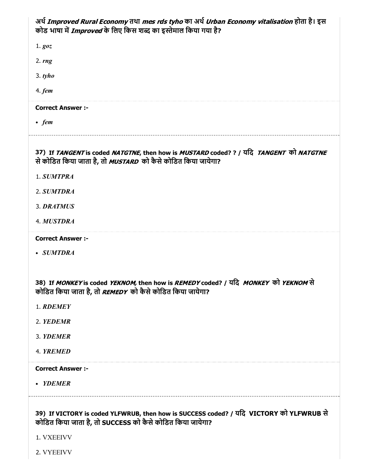| अर्थ Improved Rural Economy तथा mes rds tyho का अर्थ Urban Economy vitalisation होता है। इस<br>कोड भाषा में Improved के लिए किस शब्द का इस्तेमाल किया गया है?                            |
|------------------------------------------------------------------------------------------------------------------------------------------------------------------------------------------|
| 1. goz                                                                                                                                                                                   |
| 2. $rng$                                                                                                                                                                                 |
| $3.$ tyho                                                                                                                                                                                |
| 4. <i>fem</i>                                                                                                                                                                            |
| <b>Correct Answer :-</b>                                                                                                                                                                 |
| $\bullet$ fem                                                                                                                                                                            |
| 37) If TANGENT is coded NATGTNE, then how is MUSTARD coded? ? / यदि TANGENT को NATGTNE<br>से कोडित किया जाता है, तो <i>MUSTARD</i> को कैसे कोडित किया जायेगा?                            |
| 1. SUMTPRA                                                                                                                                                                               |
| 2. SUMTDRA                                                                                                                                                                               |
| 3. DRATMUS                                                                                                                                                                               |
| <b>4. MUSTDRA</b>                                                                                                                                                                        |
|                                                                                                                                                                                          |
| <b>Correct Answer :-</b>                                                                                                                                                                 |
| • SUMTDRA                                                                                                                                                                                |
|                                                                                                                                                                                          |
| 38) If <i>MONKEY</i> is coded <i>YEKNOM,</i> then how is <i>REMEDY</i> coded? / यदि <i>MONKEY</i> को <i>YEKNOM</i> से<br>कोडित किया जाता है, तो <i>REMEDY</i> को कैसे कोडित किया जायेगा? |
| 1. RDEMEY                                                                                                                                                                                |
| 2. YEDEMR                                                                                                                                                                                |
| 3. YDEMER                                                                                                                                                                                |
| 4. YREMED                                                                                                                                                                                |
| <b>Correct Answer :-</b>                                                                                                                                                                 |
| • YDEMER                                                                                                                                                                                 |
|                                                                                                                                                                                          |
| 39) If VICTORY is coded YLFWRUB, then how is SUCCESS coded? / यदि VICTORY को YLFWRUB से<br>कोडित किया जाता है, तो SUCCESS को कैसे कोडित किया जायेगा?<br>1. VXEEIVV                       |

2. VYEEIVV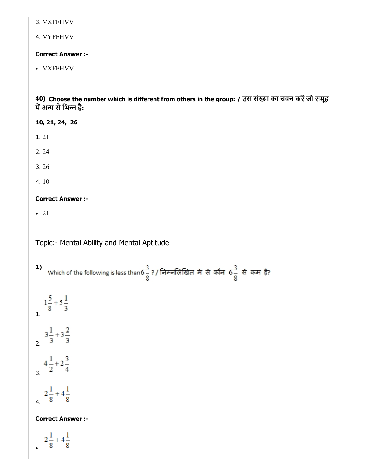3. VXFFHVV

4. VYFFHVV

Correct Answer :-

VXFFHVV

40) Choose the number which is different from others in the group: / उस संख्या का चयन करें जो समूह में अन्य से भिन्न है:

10, 21, 24, 26 1. 21 2. 24 3. 26 4. 10 Correct Answer :- • 21 Topic:- Mental Ability and Mental Aptitude Which of the following is less than 6 $\frac{3}{8}$  ? / निम्नलिखित में से कौन 6 $\frac{3}{8}$  से कम है? 1)  $1\frac{5}{8}+5\frac{1}{3}$  $3\frac{1}{3}+3\frac{2}{3}$  $4\frac{1}{2}+2\frac{3}{4}$  $rac{2\frac{1}{8}+4\frac{1}{8}}{4}$ Correct Answer :- $2\frac{1}{8}+4\frac{1}{8}$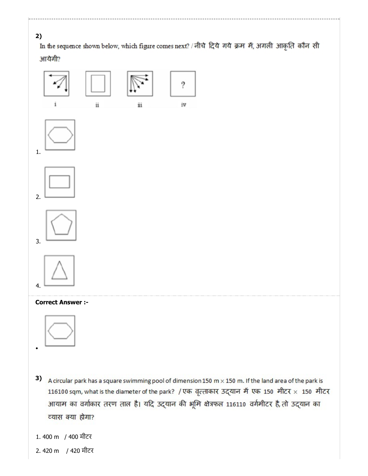

In the sequence shown below, which figure comes next? / नीचे दिये गये क्रम में, अगली आकृति कौन सी आयेगी?





- 3) A circular park has a square swimming pool of dimension 150 m  $\times$  150 m. If the land area of the park is 116100 sqm, what is the diameter of the park? / एक वृत्ताकार उद्यान में एक 150 मीटर × 150 मीटर आयाम का वर्गाकार तरण ताल है। यदि उद्यान की भूमि क्षेत्रफल 116110 वर्गमीटर है, तो उद्यान का व्यास क्या होगा?
- 1. 400 m / 400 मीटर
- 2. 420 m / 420 मीटर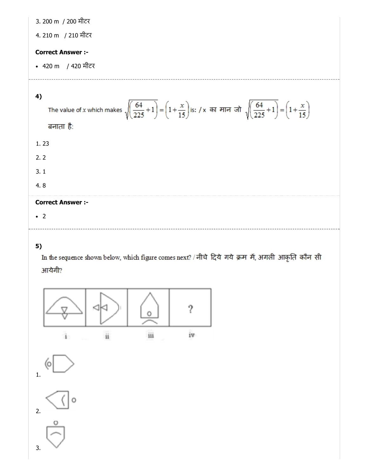3. 200 m / 200 मीटर

4. 210 m / 210 मीटर

### Correct Answer :-

420 m / 420 मीटर

### 4)

```
The value of x which makes \sqrt{\left(\frac{64}{225}+1\right)} = \left(1+\frac{x}{15}\right) is: / x का मान जो \sqrt{\left(\frac{64}{225}+1\right)} = \left(1+\frac{x}{15}\right)बनाता है:
1. 23
2. 2
3. 1
4. 8
```
### Correct Answer :-

 $\cdot$  2

### 5)

In the sequence shown below, which figure comes next? / नीचे दिये गये क्रम में, अगली आकृति कौन सी आयेगी?

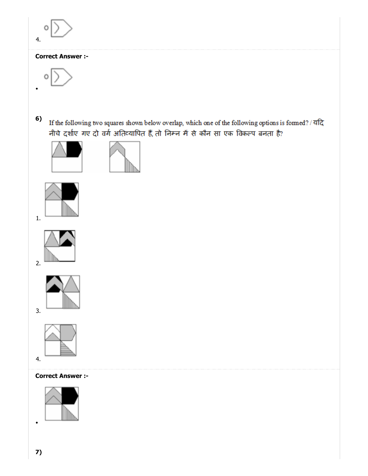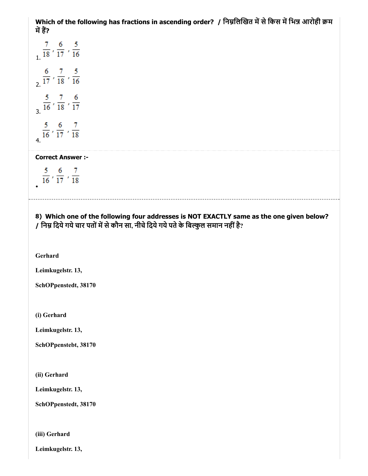Which of the following has fractions in ascending order? / निम्नलिखित में से किस में भिन्न आरोही क्रम में हैं?

 $\frac{7}{18}$ ,  $\frac{6}{17}$ ,  $\frac{5}{16}$  $\frac{6}{2}$ ,  $\frac{7}{17}$ ,  $\frac{5}{18}$ ,  $\frac{5}{16}$  $rac{5}{3}$ ,  $rac{7}{16}$ ,  $rac{6}{18}$ ,  $rac{6}{17}$  $\frac{5}{16}$ ,  $\frac{6}{17}$ ,  $\frac{7}{18}$ 

Correct Answer :-

 $rac{5}{16}$ ,  $rac{6}{17}$ ,  $rac{7}{18}$ 

8) Which one of the following four addresses is NOT EXACTLY same as the one given below? / निम्न दिये गये चार पतों में से कौन सा, नीचे दिये गये पते के बिल्कुल समान नहीं है?

Gerhard

Leimkugelstr. 13,

SchOPpenstedt, 38170

(i) Gerhard

Leimkugelstr. 13,

SchOPpenstebt, 38170

(ii) Gerhard

Leimkugelstr. 13,

SchOPpenstedt, 38170

(iii) Gerhard

Leimkugelstr. 13,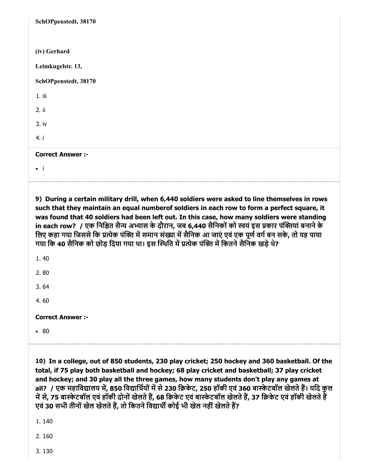| SchOPpenstedt, 38170     |
|--------------------------|
|                          |
| (iv) Gerhard             |
| Leimkugelstr. 13,        |
| SchOPpenstedt, 38170     |
| $1.$ iii                 |
| 2. ii                    |
| 3. iv                    |
| 4. i                     |
| <b>Correct Answer :-</b> |
| $\bullet$ $\rightarrow$  |
|                          |

9) During a certain military drill, when 6,440 soldiers were asked to line themselves in rows such that they maintain an equal numberof soldiers in each row to form a perfect square, it was found that 40 soldiers had been left out. In this case, how many soldiers were standing in each row? / एक निश्चित सैन्य अभ्यास के दौरान, जब 6,440 सैनिकों को स्वयं इस प्रकार पंक्तियां बनाने के लिए कहा गया जिससे कि प्रत्येक पंक्ति में समान संख्या में सैनिक आ जाएं एवं एक पूर्ण वर्ग बन सके, तो यह पाया गया कि 40 सैनिक को छोड़ दिया गया था। इस स्थिति में प्रत्येक पंक्ति में कितने सैनिक खड़े थे?

| 4.60         |  |
|--------------|--|
| 2.80<br>3.64 |  |
|              |  |
|              |  |
|              |  |
| 1.40         |  |

10) In a college, out of 850 students, 230 play cricket; 250 hockey and 360 basketball. Of the total, if 75 play both basketball and hockey; 68 play cricket and basketball; 37 play cricket and hockey; and 30 play all the three games, how many students don't play any games at all? / एक महाविद्यालय में, 850 विद्यार्थियों में से 230 क्रिकेट, 250 हॉकी एवं 360 बास्केटबॉल खेलते हैं। यदि कुल में से, 75 बास्केटबॉल एवं हॉकी दोनों खेलते हैं, 68 क्रिकेट एवं बास्केटबॉल खेलते हैं, 37 क्रिकेट एवं हॉकी खेलते हैं एवं 30 सभी तीनों खेल खेलते हैं, तो कितने विद्यार्थी कोई भी खेल नहीं खेलते हैं?

1. 140

2. 160

3. 130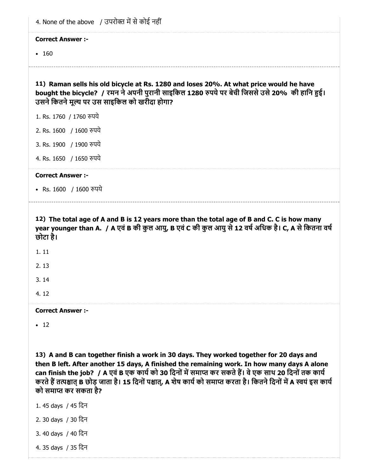| 4. None of the above / उपरोक्त में से कोई नहीं                                                                                                                                                                                          |  |
|-----------------------------------------------------------------------------------------------------------------------------------------------------------------------------------------------------------------------------------------|--|
| <b>Correct Answer:-</b>                                                                                                                                                                                                                 |  |
| • 160                                                                                                                                                                                                                                   |  |
|                                                                                                                                                                                                                                         |  |
| 11) Raman sells his old bicycle at Rs. 1280 and loses 20%. At what price would he have<br>bought the bicycle? / रमन ने अपनी पुरानी साइकिल 1280 रुपये पर बेची जिससे उसे 20% की हानि हुई।<br>उसने कितने मूल्य पर उस साइकिल को खरीदा होगा? |  |
| 1. Rs. 1760 / 1760 रुपये                                                                                                                                                                                                                |  |
| 2. Rs. 1600 / 1600 रुपये                                                                                                                                                                                                                |  |
| 3. Rs. 1900 / 1900 रुपये                                                                                                                                                                                                                |  |
| 4. Rs. 1650 / 1650 रुपये                                                                                                                                                                                                                |  |
| <b>Correct Answer:-</b>                                                                                                                                                                                                                 |  |
| • Rs. 1600 / 1600 रुपये                                                                                                                                                                                                                 |  |
| 12) The total age of A and B is 12 years more than the total age of B and C. C is how many<br>year younger than A. / A एवं B की कुल आयु, B एवं C की कुल आयु से 12 वर्ष अधिक है। C, A से कितना वर्ष<br>छोटा है।                          |  |
| 1.11                                                                                                                                                                                                                                    |  |
| 2.13                                                                                                                                                                                                                                    |  |
| 3.14                                                                                                                                                                                                                                    |  |
| 4.12                                                                                                                                                                                                                                    |  |
| <b>Correct Answer:-</b>                                                                                                                                                                                                                 |  |
| $\cdot$ 12                                                                                                                                                                                                                              |  |

13) A and B can together finish a work in 30 days. They worked together for 20 days and then B left. After another 15 days, A finished the remaining work. In how many days A alone can finish the job? / A एवं B एक कार्य को 30 दिनों में समाप्त कर सकते हैं। वे एक साथ 20 दिनों तक कार्य करते हैं तत्पश्चात् B छोड़ जाता है। 15 दिनों पश्चात्, A शेष कार्य को समाप्त करता है। कितने दिनों में A स्वयं इस कार्य को समाप्त कर सकता है?

- 1. 45 days / 45 िदन
- 2. 30 days / 30 िदन
- 3. 40 days / 40 िदन
- 4. 35 days / 35 िदन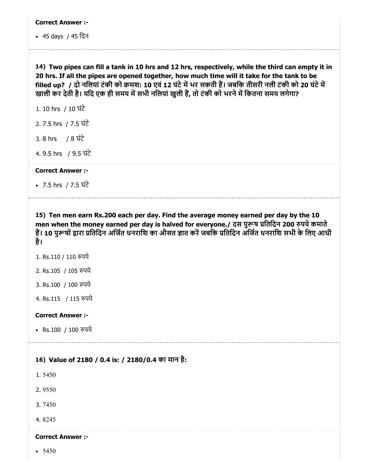45 days / 45 िदन

14) Two pipes can fill a tank in 10 hrs and 12 hrs, respectively, while the third can empty it in 20 hrs. If all the pipes are opened together, how much time will it take for the tank to be filled up? / दो नलियां टंकी को क्रमश: 10 एवं 12 घंटे में भर सकती हैं। जबकि तीसरी नली टंकी को 20 घंटे में खाली कर देती है। यदि एक ही समय में सभी नलियां खुली हैं, तो टंकी को भरने में कितना समय लगेगा?

1. 10 hrs / 10 घंटे

2. 7.5 hrs / 7.5 घंटे

3. 8 hrs /  $8 \,$   $\overrightarrow{4}$ 

4. 9.5 hrs / 9.5 घंटे

Correct Answer :-

7.5 hrs / 7.5 घंटे

15) Ten men earn Rs.200 each per day. Find the average money earned per day by the 10 men when the money earned per day is halved for everyone./ दस पुरूष प्रतिदिन 200 रुपये कमाते हैं। 10 पुरूषों द्वारा प्रतिदिन अर्जित धनराशि का औसत ज्ञात करें जबकि प्रतिदिन अर्जित धनराशि सभी के लिए आधी है।

1. Rs.110 / 110 रुपये

2. Rs.105 / 105 पये

3. Rs.100 / 100 रुपये

4. Rs.115 / 115 पये

#### Correct Answer :-

• Rs.100 / 100 रुपये

#### 16) Value of 2180 / 0.4 is: / 2180/0.4 का मान है:

1. 5450

2. 9550

3. 7450

4. 8245

### Correct Answer :-

 $• 5450$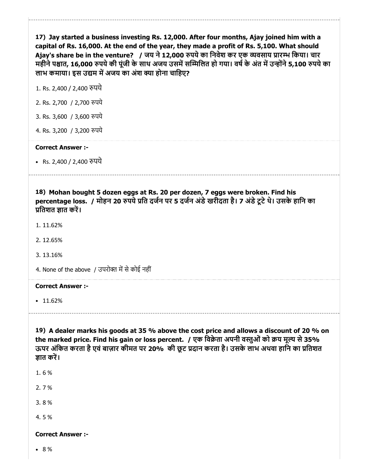17) Jay started a business investing Rs. 12,000. After four months, Ajay joined him with a capital of Rs. 16,000. At the end of the year, they made a profit of Rs. 5,100. What should Ajay's share be in the venture? / जय ने 12,000 रुपये का निवेश कर एक व्यवसाय प्रारम्भ किया। चार महीने पश्चात, 16,000 रुपये की पूंजी के साथ अजय उसमें सम्मिलित हो गया। वर्ष के अंत में उन्होंने 5,100 रुपये का लाभ कमाया। इस उद्यम में अजय का अंश क्या होना चाहिए?

1. Rs. 2,400 / 2,400 रुपये

- 2. Rs. 2,700 / 2,700 पये
- 3. Rs. 3,600 / 3,600 पये
- 4. Rs. 3,200 / 3,200 पये

#### Correct Answer :-

• Rs. 2,400 / 2,400 रुपये

18) Mohan bought 5 dozen eggs at Rs. 20 per dozen, 7 eggs were broken. Find his percentage loss. / मोहन 20 रुपये प्रति दर्जन पर 5 दर्जन अंडे खरीदता है। 7 अंडे टूटे थे। उसके हानि का प्रतिशत ज्ञात करें।

- 1. 11.62%
- 2. 12.65%
- 3. 13.16%

4. None of the above / उपरोक्त में से कोई नहीं

#### Correct Answer :-

 $• 11.62%$ 

19) A dealer marks his goods at 35 % above the cost price and allows a discount of 20 % on the marked price. Find his gain or loss percent. / एक विक्रेता अपनी वस्तुओं को क्रय मूल्य से 35% ऊपर अंकित करता है एवं बाज़ार कीमत पर 20% की छूट प्रदान करता है। उसके लाभ अथवा हानि का प्रतिशत ज्ञात करें।

- 1. 6 %
- 2. 7 %
- 3. 8 %
- 4. 5 %

#### Correct Answer :-

8 %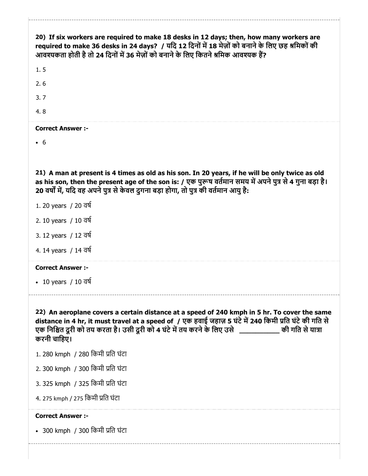| 20) If six workers are required to make 18 desks in 12 days; then, how many workers are<br>required to make 36 desks in 24 days? / यदि 12 दिनों में 18 मेज़ों को बनाने के लिए छह श्रमिकों की<br>आवश्यकता होती है तो 24 दिनों में 36 मेज़ों को बनाने के लिए कितने श्रमिक आवश्यक हैं?<br>1.5                                        |
|-----------------------------------------------------------------------------------------------------------------------------------------------------------------------------------------------------------------------------------------------------------------------------------------------------------------------------------|
| 2.6                                                                                                                                                                                                                                                                                                                               |
| 3.7                                                                                                                                                                                                                                                                                                                               |
| 4.8                                                                                                                                                                                                                                                                                                                               |
| <b>Correct Answer :-</b>                                                                                                                                                                                                                                                                                                          |
| $\cdot$ 6                                                                                                                                                                                                                                                                                                                         |
|                                                                                                                                                                                                                                                                                                                                   |
| 21) A man at present is 4 times as old as his son. In 20 years, if he will be only twice as old<br>as his son, then the present age of the son is: / एक पुरूष वर्तमान समय में अपने पुत्र से 4 गुना बड़ा है।<br>20 वर्षों में, यदि वह अपने पुत्र से केवल दुगना बड़ा होगा, तो पुत्र की वर्तमान आयु है:                              |
| 1. 20 years / 20 वर्ष                                                                                                                                                                                                                                                                                                             |
| 2. 10 years / 10 वर्ष                                                                                                                                                                                                                                                                                                             |
| 3. 12 years / 12 वर्ष                                                                                                                                                                                                                                                                                                             |
| 4. 14 years / 14 वर्ष                                                                                                                                                                                                                                                                                                             |
| <b>Correct Answer:-</b>                                                                                                                                                                                                                                                                                                           |
| • 10 years / 10 $\overline{d}$                                                                                                                                                                                                                                                                                                    |
|                                                                                                                                                                                                                                                                                                                                   |
| 22) An aeroplane covers a certain distance at a speed of 240 kmph in 5 hr. To cover the same<br>distance in 4 hr, it must travel at a speed of / एक हवाई जहाज़ 5 घंटे में 240 किमी प्रति घंटे की गति से<br>एक निश्चित दूरी को तय करता है। उसी दूरी को 4 घंटे में तय करने के लिए उसे _____________ की गति से यात्रा<br>करनी चाहिए। |
| 1.280 kmph / 280 किमी प्रति घंटा                                                                                                                                                                                                                                                                                                  |
| 2.300 kmph / 300 किमी प्रति घंटा                                                                                                                                                                                                                                                                                                  |
| 3.325 kmph /325 किमी प्रति घंटा                                                                                                                                                                                                                                                                                                   |
| 4. 275 kmph / 275 किमी प्रति घंटा                                                                                                                                                                                                                                                                                                 |
| <b>Correct Answer :-</b>                                                                                                                                                                                                                                                                                                          |
| • 300 kmph / 300 किमी प्रति घंटा                                                                                                                                                                                                                                                                                                  |
|                                                                                                                                                                                                                                                                                                                                   |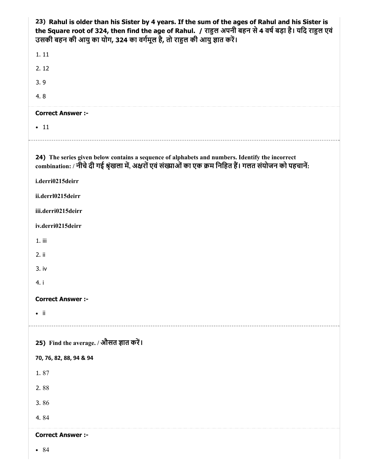| 23) Rahul is older than his Sister by 4 years. If the sum of the ages of Rahul and his Sister is<br>the Square root of 324, then find the age of Rahul. / राहुल अपनी बहन से 4 वर्ष बड़ा है। यदि राहुल एवं<br>उसकी बहन की आयु का योग, 324 का वर्गमूल है, तो राहुल की आयु ज्ञात करें। |
|-------------------------------------------------------------------------------------------------------------------------------------------------------------------------------------------------------------------------------------------------------------------------------------|
| 1.11                                                                                                                                                                                                                                                                                |
| 2.12                                                                                                                                                                                                                                                                                |
| 3.9                                                                                                                                                                                                                                                                                 |
| 4.8                                                                                                                                                                                                                                                                                 |
| <b>Correct Answer :-</b>                                                                                                                                                                                                                                                            |
| $\cdot$ 11                                                                                                                                                                                                                                                                          |
| 24) The series given below contains a sequence of alphabets and numbers. Identify the incorrect<br>combination: / नीचे दी गई श्रृंखला में, अक्षरों एवं संख्याओं का एक क्रम निहित हैं। गलत संयोजन को पहचानें:<br>i.derri0215deirr                                                    |
|                                                                                                                                                                                                                                                                                     |
| ii.derrl0215deirr                                                                                                                                                                                                                                                                   |
| iii.derri0215deirr                                                                                                                                                                                                                                                                  |
| iv.derri0215deirr                                                                                                                                                                                                                                                                   |
| $1.$ iii                                                                                                                                                                                                                                                                            |
| 2. ii                                                                                                                                                                                                                                                                               |
| 3. iv<br>4. i                                                                                                                                                                                                                                                                       |
|                                                                                                                                                                                                                                                                                     |
| <b>Correct Answer :-</b>                                                                                                                                                                                                                                                            |
| $\bullet$ ii                                                                                                                                                                                                                                                                        |
| 25) Find the average. / औसत ज्ञात करें।                                                                                                                                                                                                                                             |
| 70, 76, 82, 88, 94 & 94                                                                                                                                                                                                                                                             |
| 1.87                                                                                                                                                                                                                                                                                |
| 2.88                                                                                                                                                                                                                                                                                |
| 3.86                                                                                                                                                                                                                                                                                |
| 4.84                                                                                                                                                                                                                                                                                |
| <b>Correct Answer :-</b>                                                                                                                                                                                                                                                            |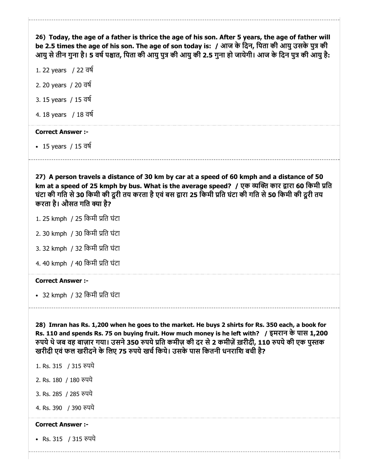26) Today, the age of a father is thrice the age of his son. After 5 years, the age of father will be 2.5 times the age of his son. The age of son today is: / आज के दिन, पिता की आयु उसके पुत्र की आयु से तीन गुना है। 5 वर्ष पश्चात, पिता की आयु पुत्र की आयु की 2.5 गुना हो जायेगी। आज के दिन पुत्र की आयु है:

1. 22 years / 22 वष

2. 20 years / 20 वष

3. 15 years / 15 वष

4. 18 years / 18 वष

#### Correct Answer :-

15 years / 15 वष

27) A person travels a distance of 30 km by car at a speed of 60 kmph and a distance of 50 km at a speed of 25 kmph by bus. What is the average speed? / एक व्यक्ति कार द्वारा 60 किमी प्रति घंटा की गति से 30 किमी की दूरी तय करता है एवं बस द्वारा 25 किमी प्रति घंटा की गति से 50 किमी की दूरी तय करता है। औसत गति क्या है?

1. 25 kmph / 25 िकमी ित घंटा

2. 30 kmph / 30 िकमी ित घंटा

3. 32 kmph / 32 िकमी ित घंटा

4. 40 kmph / 40 िकमी ित घंटा

#### Correct Answer :-

• 32 kmph / 32 किमी प्रति घंटा

28) Imran has Rs. 1,200 when he goes to the market. He buys 2 shirts for Rs. 350 each, a book for Rs. 110 and spends Rs. 75 on buying fruit. How much money is he left with? / इमरान के पास 1,200 रुपये थे जब वह बाज़ार गया। उसने 350 रुपये प्रति कमीज़ की दर से 2 कमीज़ें ख़रीदी, 110 रुपये की एक पुस्तक खरीदी एवं फल खरीदने के लिए 75 रुपये खर्च किये। उसके पास कितनी धनराशि बची है?

- 1. Rs. 315 / 315 पये
- 2. Rs. 180 / 180 पये
- 3. Rs. 285 / 285 पये
- 4. Rs. 390 / 390 पये

#### Correct Answer :-

• Rs. 315 / 315 रुपये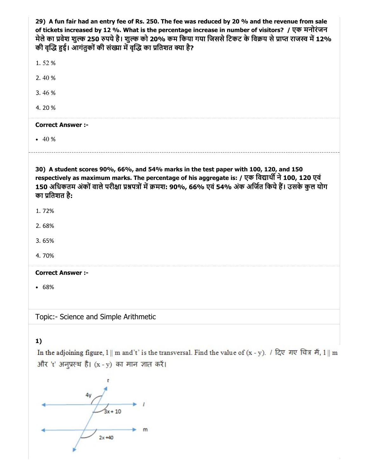$m$ 

 $2x + 40$ 

4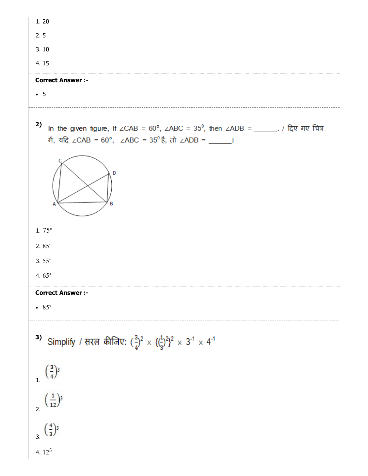| 1.20                                                                                                                                                 |
|------------------------------------------------------------------------------------------------------------------------------------------------------|
| 2.5                                                                                                                                                  |
| 3.10                                                                                                                                                 |
| 4.15                                                                                                                                                 |
| <b>Correct Answer :-</b>                                                                                                                             |
| $\bullet$ 5                                                                                                                                          |
| 2)<br>In the given figure, If ∠CAB = 60°, ∠ABC = 35°, then ∠ADB = _____. / दिए गए चित्र<br>में, यदि ∠CAB = 60°, ∠ABC = 35° है, तो ∠ADB = _____ <br>D |
| $1.75^{\circ}$                                                                                                                                       |
| 2. $85^\circ$                                                                                                                                        |
| $3.55^{\circ}$                                                                                                                                       |
| 4.65 $\degree$                                                                                                                                       |
| <b>Correct Answer :-</b>                                                                                                                             |
| $\bullet$ 85 $\circ$                                                                                                                                 |
| 3) Simplify / सरल कीजिए: $(\frac{3}{4})^2 \times {\{\frac{1}{3}\}^2}^2 \times 3^{-1} \times 4^{-1}$                                                  |
| $\left(\frac{3}{4}\right)^3$                                                                                                                         |
| $\left(\frac{1}{12}\right)^3$                                                                                                                        |
| $\left(\frac{4}{3}\right)^3$                                                                                                                         |
| 4. $12^3$                                                                                                                                            |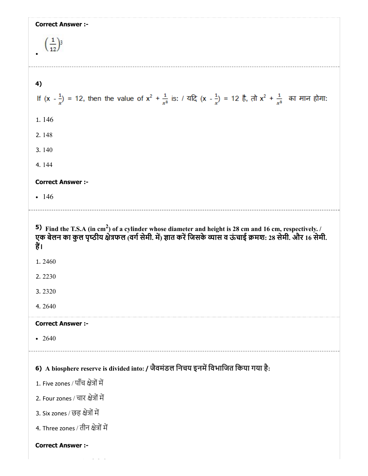| <b>Correct Answer :-</b><br>$\left(\frac{1}{12}\right)^3$ |                                                                                                                                                                                                                                                 |
|-----------------------------------------------------------|-------------------------------------------------------------------------------------------------------------------------------------------------------------------------------------------------------------------------------------------------|
| 4)                                                        |                                                                                                                                                                                                                                                 |
|                                                           | If $(x - \frac{1}{x}) = 12$ , then the value of $x^2 + \frac{1}{x^2}$ is: / यदि $(x - \frac{1}{x}) = 12$ है, तो $x^2 + \frac{1}{x^2}$ का मान होगा:                                                                                              |
| 1.146                                                     |                                                                                                                                                                                                                                                 |
| 2.148                                                     |                                                                                                                                                                                                                                                 |
| 3.140                                                     |                                                                                                                                                                                                                                                 |
| 4.144                                                     |                                                                                                                                                                                                                                                 |
| <b>Correct Answer :-</b>                                  |                                                                                                                                                                                                                                                 |
| $-146$                                                    |                                                                                                                                                                                                                                                 |
|                                                           | 5) Find the T.S.A (in cm <sup>2</sup> ) of a cylinder whose diameter and height is 28 cm and 16 cm, respectively. $\frac{1}{2}$<br>एक बेलन का कुल पृष्ठीय क्षेत्रफल (वर्ग सेमी. में) ज्ञात करें जिसके व्यास व ऊंचाई क्रमश: 28 सेमी. और 16 सेमी. |
| हैं।<br>1.2460<br>2.2230<br>3.2320<br>4.2640              |                                                                                                                                                                                                                                                 |
| <b>Correct Answer :-</b>                                  |                                                                                                                                                                                                                                                 |
| $-2640$                                                   |                                                                                                                                                                                                                                                 |
|                                                           | 6) A biosphere reserve is divided into: / जैवमंडल निचय इनमें विभाजित किया गया है:                                                                                                                                                               |
| 1. Five zones / पॉॅंच क्षेत्रों में                       |                                                                                                                                                                                                                                                 |
| 2. Four zones / चार क्षेत्रों में                         |                                                                                                                                                                                                                                                 |
| 3. Six zones / छह क्षेत्रों में                           |                                                                                                                                                                                                                                                 |
| 4. Three zones / तीन क्षेत्रों में                        |                                                                                                                                                                                                                                                 |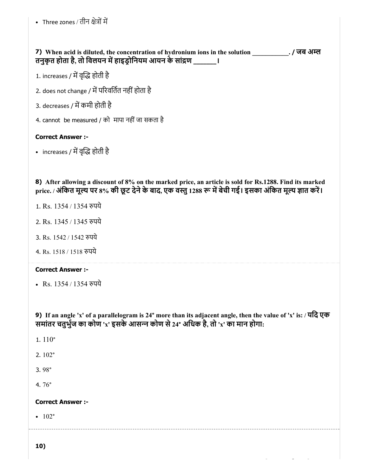• Three zones / तीन क्षेत्रों में

| 7) When acid is diluted, the concentration of hydronium ions in the solution . / जब अम्ल<br>तनुकृत होता है, तो विलयन में हाइड्रोनियम आयन के सांद्रण _______।                                                         |  |  |
|----------------------------------------------------------------------------------------------------------------------------------------------------------------------------------------------------------------------|--|--|
| 1. increases / में वृद्धि होती है                                                                                                                                                                                    |  |  |
| 2. does not change / में परिवर्तित नहीं होता है                                                                                                                                                                      |  |  |
| 3. decreases / में कमी होती है                                                                                                                                                                                       |  |  |
| 4. cannot be measured / को मापा नहीं जा सकता है                                                                                                                                                                      |  |  |
| <b>Correct Answer :-</b>                                                                                                                                                                                             |  |  |
| • increases / में वृद्धि होती है                                                                                                                                                                                     |  |  |
|                                                                                                                                                                                                                      |  |  |
| 8) After allowing a discount of 8% on the marked price, an article is sold for Rs.1288. Find its marked<br>price. / अंकित मूल्य पर 8% की छूट देने के बाद, एक वस्तु 1288 रू में बेची गई। इसका अंकित मूल्य ज्ञात करें। |  |  |
| 1. Rs. 1354 / 1354 रुपये                                                                                                                                                                                             |  |  |
| 2. Rs. 1345 / 1345 रुपये                                                                                                                                                                                             |  |  |
| 3. Rs. 1542 / 1542 रुपये                                                                                                                                                                                             |  |  |
| 4. Rs. 1518 / 1518 रुपये                                                                                                                                                                                             |  |  |
| <b>Correct Answer :-</b>                                                                                                                                                                                             |  |  |
| • Rs. 1354 / 1354 रुपये                                                                                                                                                                                              |  |  |
|                                                                                                                                                                                                                      |  |  |
| 9) If an angle 'x' of a parallelogram is 24° more than its adjacent angle, then the value of 'x' is: / यदि एक<br>समांतर चतुर्भुज का कोण 'x' इसके आसन्न कोण से 24° अधिक है, तो 'x' का मान होगा:                       |  |  |

- 1. 110°
- 2. 102°
- 3. 98°
- 4. 76°

#### Correct Answer :-

 $\cdot$  102°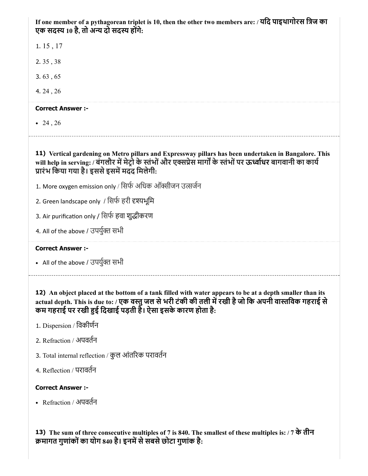If one member of a pythagorean triplet is 10, then the other two members are: / यिद पाइथागोरस िज का एक सदस्य 10 है, तो अन्य दो सदस्य होंगे:

1. 15 , 17

2. 35 , 38

3. 63 , 65

4. 24 , 26

#### Correct Answer :-

 $• 24, 26$ 

11) Vertical gardening on Metro pillars and Expressway pillars has been undertaken in Bangalore. This will help in serving: / बंगलौर में मेट्रो के स्तंभों और एक्सप्रेस मार्गों के स्तंभों पर ऊर्ध्वाधर बागवानी का कार्य प्रारंभ किया गया है। इससे इसमें मदद मिलेगी:

- 1. More oxygen emission only / सिर्फ अधिक ऑक्सीजन उत्सर्जन
- 2. Green landscape only / सिर्फ हरी दृश्यभूमि

3. Air purification only / सिर्फ हवा शुद्धीकरण

4. All of the above / उपर्युक्त सभी

#### Correct Answer :-

• All of the above / उपर्युक्त सभी

12) An object placed at the bottom of a tank filled with water appears to be at a depth smaller than its actual depth. This is due to: / एक वस्तु जल से भरी टंकी की तली में रखी है जो कि अपनी वास्तविक गहराई से कम गहराई पर रखी हुई दिखाई पड़ती है। ऐसा इसके कारण होता है:

- 1. Dispersion / िवकीणन
- 2. Refraction / अपवतन
- 3. Total internal reflection / कुल आंतरक परावतन
- 4. Reflection / परावतन

#### Correct Answer :-

Refraction / अपवतन

13) The sum of three consecutive multiples of 7 is 840. The smallest of these multiples is: / 7 के तीन क्रमागत गुणांकों का योग 840 है। इनमें से सबसे छोटा गुणांक है: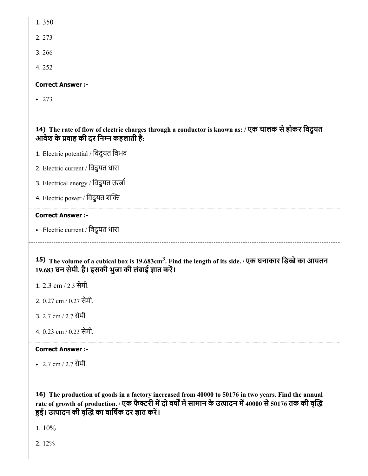- 1. 350
- 2. 273
- 3. 266
- 4. 252

### Correct Answer :-

• 273

14) The rate of flow of electric charges through a conductor is known as: / एक चालक सेहोकर िवद्ुयत आवेश के वाह की दर िनन कहलाती है:

- 1. Electric potential / िवद्ुयत िवभव
- 2. Electric current / िवद्ुयत धारा
- 3. Electrical energy / विदुयत ऊर्जा
- 4. Electric power / विदुयत शक्ति

#### Correct Answer :-

• Electric current / विदुयत धारा

15) The volume of a cubical box is 19.683cm<sup>3</sup>. Find the length of its side. / एक घनाकार डिब्बे का आयतन 19.683 घन सेमी. है। इसकी भुजा की लंबाई ज्ञात करें।

- 1. 2.3 cm / 2.3 सेमी.
- 2. 0.27 cm / 0.27 सेमी.
- 3. 2.7 cm / 2.7 सेमी.
- 4. 0.23 cm / 0.23 सेमी.

#### Correct Answer :-

2.7 cm / 2.7 सेमी.

16) The production of goods in a factory increased from 40000 to 50176 in two years. Find the annual rate of growth of production. / एक फैक्टरी में दो वर्षों में सामान के उत्पादन में 40000 से 50176 तक की वृद्धि हुई। उत्पादन की वृद्धि का वार्षिक दर ज्ञात करें।

1. 10%

2. 12%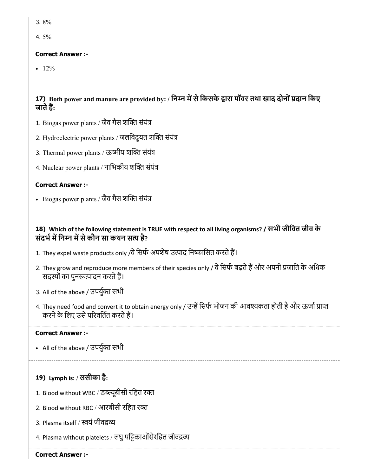- 3. 8%
- 4. 5%

### Correct Answer :-

 $-12%$ 

# 17) Both power and manure are provided by: / निम्न में से किसके द्वारा पॉवर तथा खाद दोनों प्रदान किए जातेह:

- 1. Biogas power plants / जैव गैस शक्ति संयंत्र
- 2. Hydroelectric power plants / जलविदुयत शक्ति संयंत्र
- 3. Thermal power plants / ऊष्मीय शक्ति संयंत्र
- 4. Nuclear power plants / नाभिकीय शक्ति संयंत्र

### Correct Answer :-

- Biogas power plants / जैव गैस शक्ति संयंत्र

### 18) Which of the following statement is TRUE with respect to all living organisms? / सभी जीिवत जीव के संदर्भ में निम्न में से कौन सा कथन सत्य है?

- 1. They expel waste products only /वे सिर्फ अपशेष उत्पाद निष्कासित करते हैं।
- 2. They grow and reproduce more members of their species only / वे सिर्फ बढ़ते हैं और अपनी प्रजाति के अधिक सदस्यों का पुनरूत्पादन करते हैं।
- 3. All of the above / उपर्युक्त सभी
- 4. They need food and convert it to obtain energy only / उन्हें सिर्फ भोजन की आवश्यकता होती है और ऊर्जा प्राप्त करने के लिए उसे परिवर्तित करते हैं।

### Correct Answer :-

- All of the above / उपर्युक्त सभी
- 19) Lymph is: / लसीका है:
- 1. Blood without WBC / डब्ल्यूबीसी रहित रक्त
- 2. Blood without RBC / आरबीसी रिहत रत
- 3. Plasma itself / वयं जीवय
- 4. Plasma without platelets / लघु पट्टिकाओं सेरहित जीवद्रव्य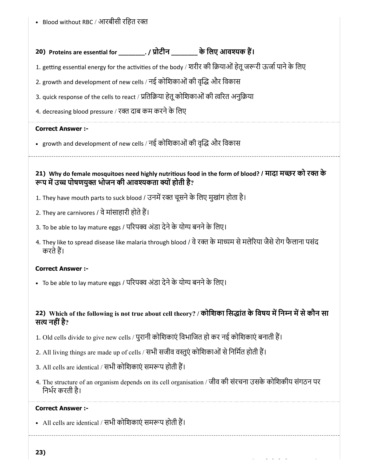Blood without RBC / आरबीसी रिहत रत

# 20) Proteins are essential for \_\_\_\_\_\_\_\_\_\_. / प्रोटीन \_\_\_\_\_\_\_\_\_ के लिए आवश्यक है।

1. getting essential energy for the activities of the body / शरीर की क्रियाओं हेतू जरूरी ऊर्जा पाने के लिए

- 2. growth and development of new cells / नई कोशिकाओं की वृद्धि और विकास
- 3. quick response of the cells to react / प्रतिक्रिया हेतू कोशिकाओं की त्वरित अनुक्रिया
- 4. decreasing blood pressure / रक्त दाब कम करने के लिए

#### Correct Answer :-

• growth and development of new cells / नई कोशिकाओं की वृद्धि और विकास

21) Why do female mosquitoes need highly nutritious food in the form of blood? / मादा मच्छर को रक्त के रूप में उच्च पोषणयुक्त भोजन की आवश्यकता क्यों होती है?

- 1. They have mouth parts to suck blood / उनमें रक्त चूसने के लिए मुखांग होता है।
- 2. They are carnivores / वे मांसाहारी होते हैं।
- 3. To be able to lay mature eggs / परिपक्व अंडा देने के योग्य बनने के लिए।
- 4. They like to spread disease like malaria through blood / वे रक्त के माध्यम से मलेरिया जैसे रोग फैलाना पसंद करतेह।

#### Correct Answer :-

• To be able to lay mature eggs / परिपक्व अंडा देने के योग्य बनने के लिए।

### 22) Which of the following is not true about cell theory? / कोशिका सिद्धांत के विषय में निम्न में से कौन सा सत्य नहीं है?

- 1. Old cells divide to give new cells / पुरानी कोशिकाएं विभाजित हो कर नई कोशिकाएं बनाती हैं।
- 2. All living things are made up of cells / सभी सजीव वस्तुएं कोशिकाओं से निर्मित होती हैं।
- 3. All cells are identical / सभी कोशिकाएं समरूप होती हैं।
- 4. The structure of an organism depends on its cell organisation / जीव की संरचना उसके कोिशकीय संगठन पर िनभर करती है।

#### Correct Answer :-

• All cells are identical / सभी कोशिकाएं समरूप होती हैं।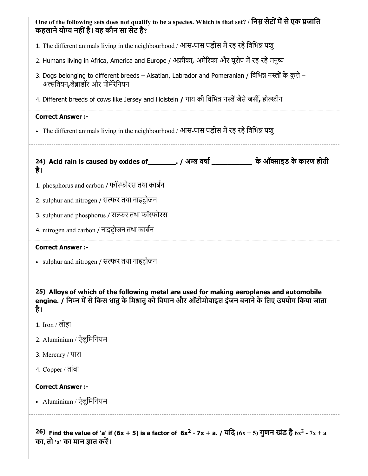| One of the following sets does not qualify to be a species. Which is that set? / निम्न सेटों में से एक प्रजाति<br>कहलाने योग्य नहीं है। वह कौन सा सेट है?                                              |  |  |  |
|--------------------------------------------------------------------------------------------------------------------------------------------------------------------------------------------------------|--|--|--|
| 1. The different animals living in the neighbourhood / आस-पास पड़ोस में रह रहे विभिन्न पश्                                                                                                             |  |  |  |
| 2. Humans living in Africa, America and Europe / अफ्रीका, अमेरिका और यूरोप में रह रहे मनुष्य                                                                                                           |  |  |  |
| 3. Dogs belonging to different breeds – Alsatian, Labrador and Pomeranian / विभिन्न नस्लों के कुत्ते –<br>अल्सतियन,लैब्राडॉर और पोमेरेनियन                                                             |  |  |  |
| 4. Different breeds of cows like Jersey and Holstein / गाय की विभिन्न नस्लें जैसे जर्सी, होल्स्टीन                                                                                                     |  |  |  |
| <b>Correct Answer :-</b>                                                                                                                                                                               |  |  |  |
| • The different animals living in the neighbourhood / आस-पास पड़ोस में रह रहे विभिन्न पशु                                                                                                              |  |  |  |
| 24) Acid rain is caused by oxides of __________. / अम्ल वर्षा _____________ के ऑक्साइड के कारण होती<br>है।                                                                                             |  |  |  |
| 1. phosphorus and carbon / फॉस्फोरस तथा कार्बन                                                                                                                                                         |  |  |  |
| 2. sulphur and nitrogen / सल्फर तथा नाइट्रोजन                                                                                                                                                          |  |  |  |
| 3. sulphur and phosphorus / सल्फर तथा फॉस्फोरस                                                                                                                                                         |  |  |  |
| 4. nitrogen and carbon / नाइट्रोजन तथा कार्बन                                                                                                                                                          |  |  |  |
| <b>Correct Answer :-</b>                                                                                                                                                                               |  |  |  |
| • sulphur and nitrogen / सल्फर तथा नाइट्रोजन                                                                                                                                                           |  |  |  |
| 25) Alloys of which of the following metal are used for making aeroplanes and automobile<br>engine. / निम्न में से किस धातु के मिश्रातु को विमान और ऑटोमोबाइल इंजन बनाने के लिए उपयोग किया जाता<br>है। |  |  |  |
| 1. Iron / लोहा                                                                                                                                                                                         |  |  |  |
| 2. Aluminium / ऐलुमिनियम                                                                                                                                                                               |  |  |  |
| 3. Mercury / पारा                                                                                                                                                                                      |  |  |  |
| 4. Copper / तांबा                                                                                                                                                                                      |  |  |  |
| <b>Correct Answer:-</b>                                                                                                                                                                                |  |  |  |
| • Aluminium / ऐलुमिनियम                                                                                                                                                                                |  |  |  |
| 26) Find the value of 'a' if (6x + 5) is a factor of $6x^2 - 7x + a$ . / यदि $(6x + 5)$ गुणन खंड है $6x^2 - 7x + a$<br>का, तो 'a' का मान ज्ञात करें।                                                   |  |  |  |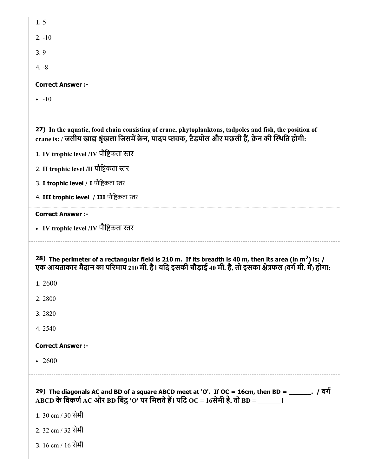$-10$ 

27) In the aquatic, food chain consisting of crane, phytoplanktons, tadpoles and fish, the position of crane is: / जलीय खाद्य श्रृंखला जिसमें क्रेन, पादप प्लवक, टैडपोल और मछली हैं, क्रेन की स्थिति होगी:

1. IV trophic level /IV पौिकता र

2. II trophic level /II पौिकता र

3. I trophic level / I पौष्टिकता स्तर

4. III trophic level / III पौष्टिकता स्तर

#### Correct Answer :-

• IV trophic level /IV पौष्टिकता स्तर

28) The perimeter of a rectangular field is 210 m. If its breadth is 40 m, then its area (in m<sup>2</sup>) is: / एक आयताकार मैदान का परिमाप 210 मी. है। यदि इसकी चौड़ाई 40 मी. है, तो इसका क्षेत्रफल (वर्ग मी. मे) होगा:

1. 2600

2. 2800

3. 2820

4. 2540

#### Correct Answer :-

• 2600

29) The diagonals AC and BD of a square ABCD meet at 'O'. If OC = 16cm, then BD = \_\_\_\_\_\_. / वग  $\overline{ABCD}$  के विकर्ण  $\overline{AC}$  और BD बिंदु 'O' पर मिलते हैं। यदि  $\overline{OC} = 16$ सेमी है, तो BD =  $\overline{C}$ 

1. 30 cm / 30 सेमी

- 2. 32 cm / 32 सेमी
- 3. 16 cm / 16 सेमी